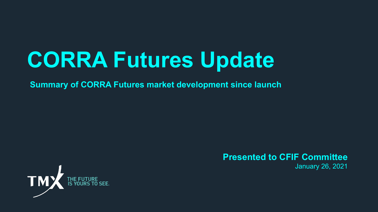# **CORRA Futures Update**

**Summary of CORRA Futures market development since launch**



### **Presented to CFIF Committee**

January 26, 2021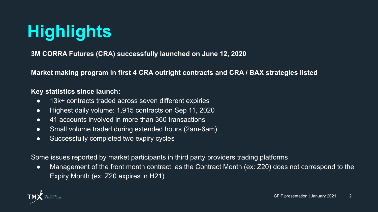## **Highlights**

**3M CORRA Futures (CRA) successfully launched on June 12, 2020**

**Market making program in first 4 CRA outright contracts and CRA / BAX strategies listed**

#### **Key statistics since launch:**

- 13k+ contracts traded across seven different expiries
- Highest daily volume: 1,915 contracts on Sep 11, 2020
- 41 accounts involved in more than 360 transactions
- Small volume traded during extended hours (2am-6am)
- Successfully completed two expiry cycles

Some issues reported by market participants in third party providers trading platforms

● Management of the front month contract, as the Contract Month (ex: Z20) does not correspond to the Expiry Month (ex: Z20 expires in H21)

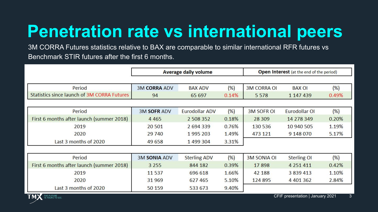### **Penetration rate vs international peers**

3M CORRA Futures statistics relative to BAX are comparable to similar international RFR futures vs Benchmark STIR futures after the first 6 months.

|                                             | <b>Average daily volume</b> |                     |       | <b>Open Interest</b> (at the end of the period) |                    |       |
|---------------------------------------------|-----------------------------|---------------------|-------|-------------------------------------------------|--------------------|-------|
|                                             |                             |                     |       |                                                 |                    |       |
| Period                                      | <b>3M CORRA ADV</b>         | <b>BAX ADV</b>      | (%)   | <b>3M CORRA OI</b>                              | <b>BAX OI</b>      | (%)   |
| Statistics since launch of 3M CORRA Futures | 94                          | 65 697              | 0.14% | 5 5 7 8                                         | 1 147 439          | 0.49% |
|                                             |                             |                     |       |                                                 |                    |       |
| Period                                      | <b>3M SOFR ADV</b>          | Eurodollar ADV      | (% )  | <b>3M SOFR OI</b>                               | Eurodollar OI      | (% )  |
| First 6 months after launch (summer 2018)   | 4 4 6 5                     | 2 508 352           | 0.18% | 28 309                                          | 14 278 349         | 0.20% |
| 2019                                        | 20 501                      | 2694339             | 0.76% | 130 536                                         | 10 940 505         | 1.19% |
| 2020                                        | 29 740                      | 1995 203            | 1.49% | 473 121                                         | 9 148 070          | 5.17% |
| Last 3 months of 2020                       | 49 658                      | 1499 304            | 3.31% |                                                 |                    |       |
|                                             |                             |                     |       |                                                 |                    |       |
| Period                                      | <b>3M SONIA ADV</b>         | <b>Sterling ADV</b> | (%)   | <b>3M SONIA OI</b>                              | <b>Sterling OI</b> | (% )  |
| First 6 months after launch (summer 2018)   | 3 2 5 5                     | 844 182             | 0.39% | 17898                                           | 4 2 5 1 4 1 1      | 0.42% |
| 2019                                        | 11 5 37                     | 696 618             | 1.66% | 42 188                                          | 3 839 413          | 1.10% |
| 2020                                        | 31 969                      | 627 465             | 5.10% | 124 895                                         | 4 4 0 1 3 6 2      | 2.84% |
| Last 3 months of 2020                       | 50 159                      | 533 673             | 9.40% |                                                 |                    |       |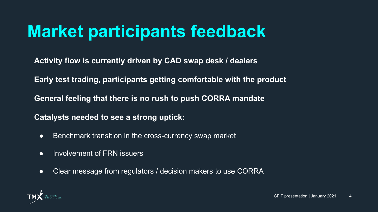### **Market participants feedback**

**Activity flow is currently driven by CAD swap desk / dealers** 

**Early test trading, participants getting comfortable with the product**

**General feeling that there is no rush to push CORRA mandate**

**Catalysts needed to see a strong uptick:**

- Benchmark transition in the cross-currency swap market
- Involvement of FRN issuers
- Clear message from regulators / decision makers to use CORRA

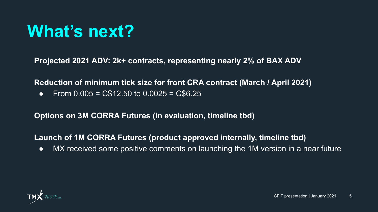### **What's next?**

**Projected 2021 ADV: 2k+ contracts, representing nearly 2% of BAX ADV**

**Reduction of minimum tick size for front CRA contract (March / April 2021)**

• From  $0.005 = C$12.50 to 0.0025 = C$6.25$ 

**Options on 3M CORRA Futures (in evaluation, timeline tbd)**

**Launch of 1M CORRA Futures (product approved internally, timeline tbd)**

● MX received some positive comments on launching the 1M version in a near future